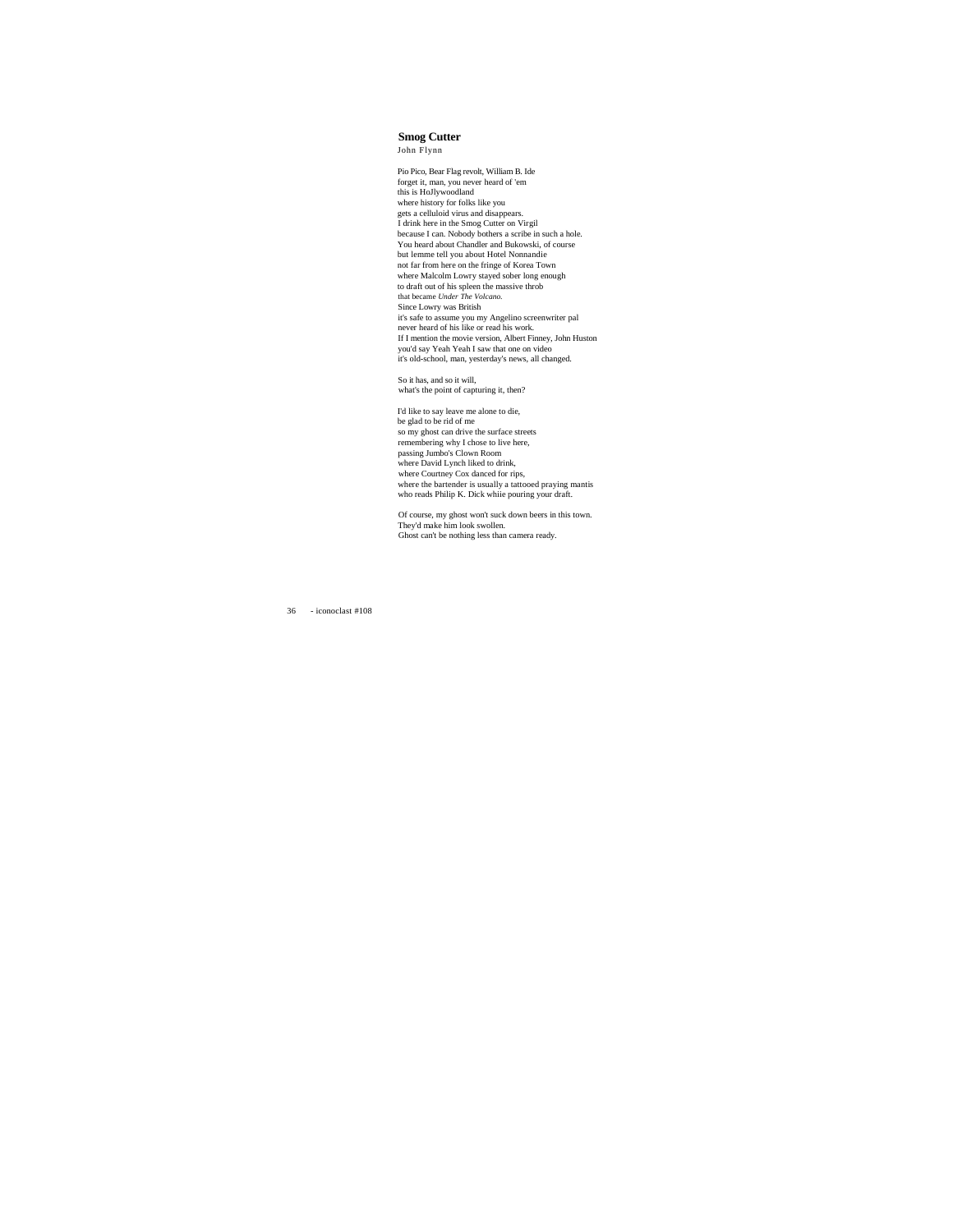**Smog Cutter** John Flynn

Pio Pico, Bear Flag revolt, William B. Ide forget it, man, you never heard of 'em this is HoJlywoodland where history for folks like you gets a celluloid virus and disappears. I drink here in the Smog Cutter on Virgil because I can. Nobody bothers a scribe in such a hole. You heard about Chandler and Bukowski, of course but lemme tell you about Hotel Nonnandie not far from here on the fringe of Korea Town where Malcolm Lowry stayed sober long enough to draft out of his spleen the massive throb<br>Bince Lowry was British<br>Since Lowry was British<br>it's safe to assume you my Angelino screenwriter pal<br>never heard of his like or read his work. If I mention the movie version, Albert Finney, John Huston you'd say Yeah Yeah I saw that one on video it's old-school, man, yesterday's news, all changed.

So it has, and so it will, what's the point of capturing it, then?

I'd like to say leave me alone to die, be glad to be rid of me so my ghost can drive the surface streets remembering why I chose to live here, passing Jumbo's Clown Room where David Lynch liked to drink, where Courtney Cox danced for rips, where the bartender is usually a tattooed praying mantis who reads Philip K. Dick whiie pouring your draft.

Of course, my ghost won't suck down beers in this town. They'd make him look swollen. Ghost can't be nothing less than camera ready.

36 - iconoclast #108